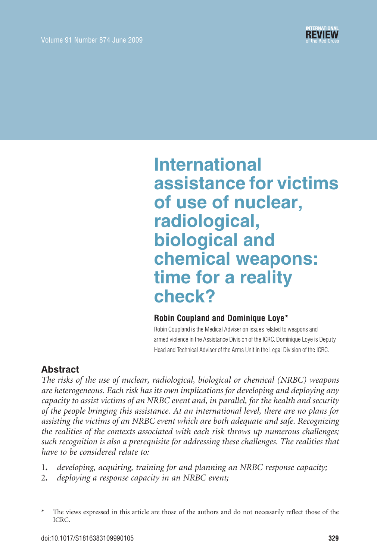# International assistance for victims of use of nuclear, radiological, biological and chemical weapons: time for a reality check?

#### Robin Coupland and Dominique Loye\*

Robin Coupland is the Medical Adviser on issues related to weapons and armed violence in the Assistance Division of the ICRC. Dominique Loye is Deputy Head and Technical Adviser of the Arms Unit in the Legal Division of the ICRC.

## Abstract

The risks of the use of nuclear, radiological, biological or chemical (NRBC) weapons are heterogeneous. Each risk has its own implications for developing and deploying any capacity to assist victims of an NRBC event and, in parallel, for the health and security of the people bringing this assistance. At an international level, there are no plans for assisting the victims of an NRBC event which are both adequate and safe. Recognizing the realities of the contexts associated with each risk throws up numerous challenges; such recognition is also a prerequisite for addressing these challenges. The realities that have to be considered relate to:

- 1. developing, acquiring, training for and planning an NRBC response capacity;
- 2. deploying a response capacity in an NRBC event;

The views expressed in this article are those of the authors and do not necessarily reflect those of the ICRC.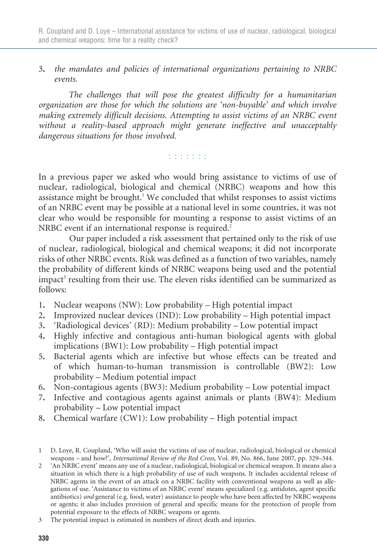#### 3. the mandates and policies of international organizations pertaining to NRBC events.

The challenges that will pose the greatest difficulty for a humanitarian organization are those for which the solutions are 'non-buyable' and which involve making extremely difficult decisions. Attempting to assist victims of an NRBC event without a reality-based approach might generate ineffective and unacceptably dangerous situations for those involved.

a a a a a a a

In a previous paper we asked who would bring assistance to victims of use of nuclear, radiological, biological and chemical (NRBC) weapons and how this assistance might be brought.<sup>1</sup> We concluded that whilst responses to assist victims of an NRBC event may be possible at a national level in some countries, it was not clear who would be responsible for mounting a response to assist victims of an NRBC event if an international response is required.<sup>2</sup>

Our paper included a risk assessment that pertained only to the risk of use of nuclear, radiological, biological and chemical weapons; it did not incorporate risks of other NRBC events. Risk was defined as a function of two variables, namely the probability of different kinds of NRBC weapons being used and the potential impact<sup>3</sup> resulting from their use. The eleven risks identified can be summarized as follows:

- 1. Nuclear weapons (NW): Low probability High potential impact
- 2. Improvized nuclear devices (IND): Low probability High potential impact
- 3. 'Radiological devices' (RD): Medium probability Low potential impact
- 4. Highly infective and contagious anti-human biological agents with global implications (BW1): Low probability – High potential impact
- 5. Bacterial agents which are infective but whose effects can be treated and of which human-to-human transmission is controllable (BW2): Low probability – Medium potential impact
- 6. Non-contagious agents (BW3): Medium probability Low potential impact
- 7. Infective and contagious agents against animals or plants (BW4): Medium probability – Low potential impact
- 8. Chemical warfare (CW1): Low probability High potential impact

<sup>1</sup> D. Loye, R. Coupland, 'Who will assist the victims of use of nuclear, radiological, biological or chemical weapons – and how?', International Review of the Red Cross, Vol. 89, No. 866, June 2007, pp. 329–344.

<sup>2 &#</sup>x27;An NRBC event' means any use of a nuclear, radiological, biological or chemical weapon. It means also a situation in which there is a high probability of use of such weapons. It includes accidental release of NRBC agents in the event of an attack on a NRBC facility with conventional weapons as well as allegations of use. 'Assistance to victims of an NRBC event' means specialized (e.g. antidotes, agent specific antibiotics) and general (e.g. food, water) assistance to people who have been affected by NRBC weapons or agents; it also includes provision of general and specific means for the protection of people from potential exposure to the effects of NRBC weapons or agents.

<sup>3</sup> The potential impact is estimated in numbers of direct death and injuries.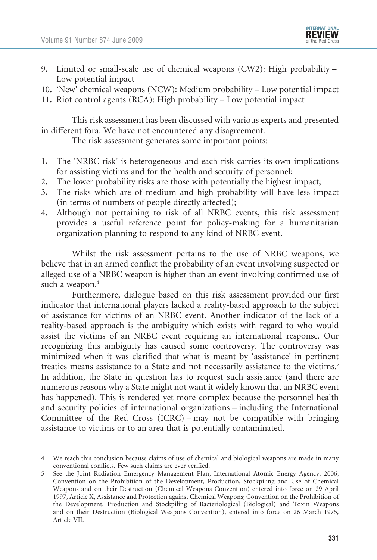

- 9. Limited or small-scale use of chemical weapons (CW2): High probability Low potential impact
- 10. 'New' chemical weapons (NCW): Medium probability Low potential impact
- 11. Riot control agents (RCA): High probability Low potential impact

This risk assessment has been discussed with various experts and presented in different fora. We have not encountered any disagreement.

The risk assessment generates some important points:

- 1. The 'NRBC risk' is heterogeneous and each risk carries its own implications for assisting victims and for the health and security of personnel;
- 2. The lower probability risks are those with potentially the highest impact;
- 3. The risks which are of medium and high probability will have less impact (in terms of numbers of people directly affected);
- 4. Although not pertaining to risk of all NRBC events, this risk assessment provides a useful reference point for policy-making for a humanitarian organization planning to respond to any kind of NRBC event.

Whilst the risk assessment pertains to the use of NRBC weapons, we believe that in an armed conflict the probability of an event involving suspected or alleged use of a NRBC weapon is higher than an event involving confirmed use of such a weapon.<sup>4</sup>

Furthermore, dialogue based on this risk assessment provided our first indicator that international players lacked a reality-based approach to the subject of assistance for victims of an NRBC event. Another indicator of the lack of a reality-based approach is the ambiguity which exists with regard to who would assist the victims of an NRBC event requiring an international response. Our recognizing this ambiguity has caused some controversy. The controversy was minimized when it was clarified that what is meant by 'assistance' in pertinent treaties means assistance to a State and not necessarily assistance to the victims.<sup>5</sup> In addition, the State in question has to request such assistance (and there are numerous reasons why a State might not want it widely known that an NRBC event has happened). This is rendered yet more complex because the personnel health and security policies of international organizations – including the International Committee of the Red Cross (ICRC) – may not be compatible with bringing assistance to victims or to an area that is potentially contaminated.

<sup>4</sup> We reach this conclusion because claims of use of chemical and biological weapons are made in many conventional conflicts. Few such claims are ever verified.

<sup>5</sup> See the Joint Radiation Emergency Management Plan, International Atomic Energy Agency, 2006; Convention on the Prohibition of the Development, Production, Stockpiling and Use of Chemical Weapons and on their Destruction (Chemical Weapons Convention) entered into force on 29 April 1997, Article X, Assistance and Protection against Chemical Weapons; Convention on the Prohibition of the Development, Production and Stockpiling of Bacteriological (Biological) and Toxin Weapons and on their Destruction (Biological Weapons Convention), entered into force on 26 March 1975, Article VII.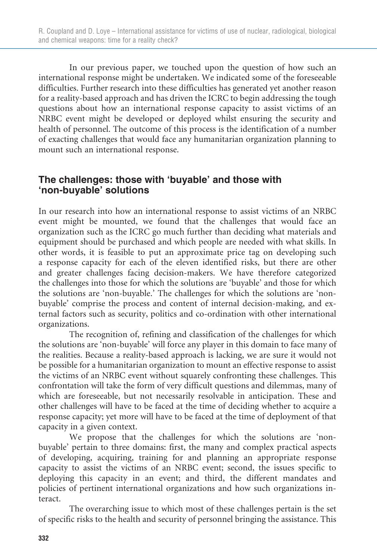In our previous paper, we touched upon the question of how such an international response might be undertaken. We indicated some of the foreseeable difficulties. Further research into these difficulties has generated yet another reason for a reality-based approach and has driven the ICRC to begin addressing the tough questions about how an international response capacity to assist victims of an NRBC event might be developed or deployed whilst ensuring the security and health of personnel. The outcome of this process is the identification of a number of exacting challenges that would face any humanitarian organization planning to mount such an international response.

## The challenges: those with 'buyable' and those with 'non-buyable' solutions

In our research into how an international response to assist victims of an NRBC event might be mounted, we found that the challenges that would face an organization such as the ICRC go much further than deciding what materials and equipment should be purchased and which people are needed with what skills. In other words, it is feasible to put an approximate price tag on developing such a response capacity for each of the eleven identified risks, but there are other and greater challenges facing decision-makers. We have therefore categorized the challenges into those for which the solutions are 'buyable' and those for which the solutions are 'non-buyable.' The challenges for which the solutions are 'nonbuyable' comprise the process and content of internal decision-making, and external factors such as security, politics and co-ordination with other international organizations.

The recognition of, refining and classification of the challenges for which the solutions are 'non-buyable' will force any player in this domain to face many of the realities. Because a reality-based approach is lacking, we are sure it would not be possible for a humanitarian organization to mount an effective response to assist the victims of an NRBC event without squarely confronting these challenges. This confrontation will take the form of very difficult questions and dilemmas, many of which are foreseeable, but not necessarily resolvable in anticipation. These and other challenges will have to be faced at the time of deciding whether to acquire a response capacity; yet more will have to be faced at the time of deployment of that capacity in a given context.

We propose that the challenges for which the solutions are 'nonbuyable' pertain to three domains: first, the many and complex practical aspects of developing, acquiring, training for and planning an appropriate response capacity to assist the victims of an NRBC event; second, the issues specific to deploying this capacity in an event; and third, the different mandates and policies of pertinent international organizations and how such organizations interact.

The overarching issue to which most of these challenges pertain is the set of specific risks to the health and security of personnel bringing the assistance. This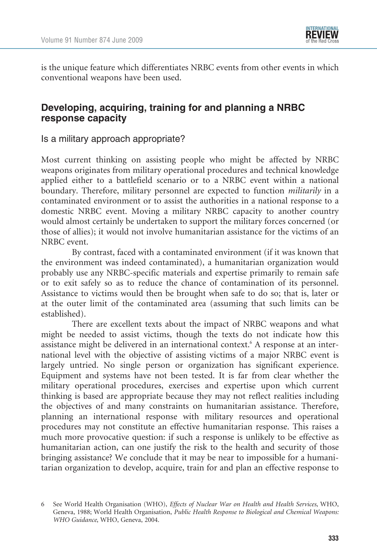

is the unique feature which differentiates NRBC events from other events in which conventional weapons have been used.

## Developing, acquiring, training for and planning a NRBC response capacity

Is a military approach appropriate?

Most current thinking on assisting people who might be affected by NRBC weapons originates from military operational procedures and technical knowledge applied either to a battlefield scenario or to a NRBC event within a national boundary. Therefore, military personnel are expected to function militarily in a contaminated environment or to assist the authorities in a national response to a domestic NRBC event. Moving a military NRBC capacity to another country would almost certainly be undertaken to support the military forces concerned (or those of allies); it would not involve humanitarian assistance for the victims of an NRBC event.

By contrast, faced with a contaminated environment (if it was known that the environment was indeed contaminated), a humanitarian organization would probably use any NRBC-specific materials and expertise primarily to remain safe or to exit safely so as to reduce the chance of contamination of its personnel. Assistance to victims would then be brought when safe to do so; that is, later or at the outer limit of the contaminated area (assuming that such limits can be established).

There are excellent texts about the impact of NRBC weapons and what might be needed to assist victims, though the texts do not indicate how this assistance might be delivered in an international context.6 A response at an international level with the objective of assisting victims of a major NRBC event is largely untried. No single person or organization has significant experience. Equipment and systems have not been tested. It is far from clear whether the military operational procedures, exercises and expertise upon which current thinking is based are appropriate because they may not reflect realities including the objectives of and many constraints on humanitarian assistance. Therefore, planning an international response with military resources and operational procedures may not constitute an effective humanitarian response. This raises a much more provocative question: if such a response is unlikely to be effective as humanitarian action, can one justify the risk to the health and security of those bringing assistance? We conclude that it may be near to impossible for a humanitarian organization to develop, acquire, train for and plan an effective response to

<sup>6</sup> See World Health Organisation (WHO), Effects of Nuclear War on Health and Health Services, WHO, Geneva, 1988; World Health Organisation, Public Health Response to Biological and Chemical Weapons: WHO Guidance, WHO, Geneva, 2004.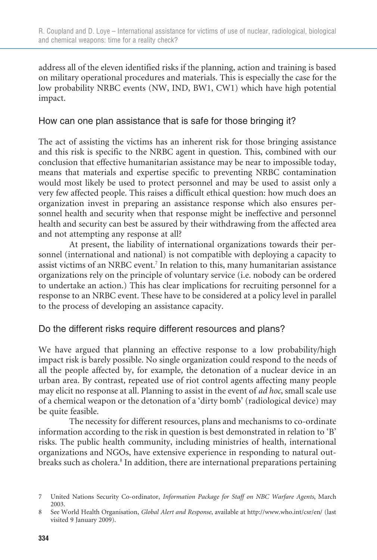address all of the eleven identified risks if the planning, action and training is based on military operational procedures and materials. This is especially the case for the low probability NRBC events (NW, IND, BW1, CW1) which have high potential impact.

## How can one plan assistance that is safe for those bringing it?

The act of assisting the victims has an inherent risk for those bringing assistance and this risk is specific to the NRBC agent in question. This, combined with our conclusion that effective humanitarian assistance may be near to impossible today, means that materials and expertise specific to preventing NRBC contamination would most likely be used to protect personnel and may be used to assist only a very few affected people. This raises a difficult ethical question: how much does an organization invest in preparing an assistance response which also ensures personnel health and security when that response might be ineffective and personnel health and security can best be assured by their withdrawing from the affected area and not attempting any response at all?

At present, the liability of international organizations towards their personnel (international and national) is not compatible with deploying a capacity to assist victims of an NRBC event.<sup>7</sup> In relation to this, many humanitarian assistance organizations rely on the principle of voluntary service (i.e. nobody can be ordered to undertake an action.) This has clear implications for recruiting personnel for a response to an NRBC event. These have to be considered at a policy level in parallel to the process of developing an assistance capacity.

## Do the different risks require different resources and plans?

We have argued that planning an effective response to a low probability/high impact risk is barely possible. No single organization could respond to the needs of all the people affected by, for example, the detonation of a nuclear device in an urban area. By contrast, repeated use of riot control agents affecting many people may elicit no response at all. Planning to assist in the event of ad hoc, small scale use of a chemical weapon or the detonation of a 'dirty bomb' (radiological device) may be quite feasible.

The necessity for different resources, plans and mechanisms to co-ordinate information according to the risk in question is best demonstrated in relation to 'B' risks. The public health community, including ministries of health, international organizations and NGOs, have extensive experience in responding to natural outbreaks such as cholera.<sup>8</sup> In addition, there are international preparations pertaining

<sup>7</sup> United Nations Security Co-ordinator, Information Package for Staff on NBC Warfare Agents, March 2003.

<sup>8</sup> See World Health Organisation, Global Alert and Response, available at http://www.who.int/csr/en/ (last visited 9 January 2009).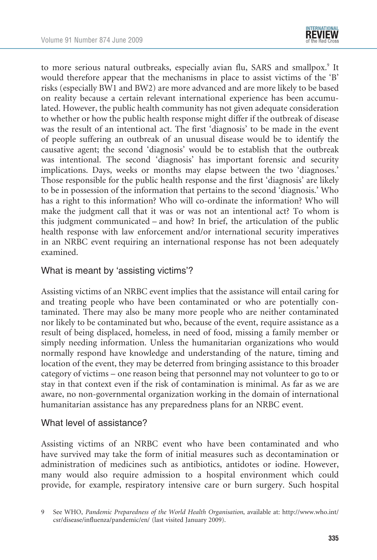

to more serious natural outbreaks, especially avian flu, SARS and smallpox.<sup>9</sup> It would therefore appear that the mechanisms in place to assist victims of the 'B' risks (especially BW1 and BW2) are more advanced and are more likely to be based on reality because a certain relevant international experience has been accumulated. However, the public health community has not given adequate consideration to whether or how the public health response might differ if the outbreak of disease was the result of an intentional act. The first 'diagnosis' to be made in the event of people suffering an outbreak of an unusual disease would be to identify the causative agent; the second 'diagnosis' would be to establish that the outbreak was intentional. The second 'diagnosis' has important forensic and security implications. Days, weeks or months may elapse between the two 'diagnoses.' Those responsible for the public health response and the first 'diagnosis' are likely to be in possession of the information that pertains to the second 'diagnosis.' Who has a right to this information? Who will co-ordinate the information? Who will make the judgment call that it was or was not an intentional act? To whom is this judgment communicated – and how? In brief, the articulation of the public health response with law enforcement and/or international security imperatives in an NRBC event requiring an international response has not been adequately examined.

## What is meant by 'assisting victims'?

Assisting victims of an NRBC event implies that the assistance will entail caring for and treating people who have been contaminated or who are potentially contaminated. There may also be many more people who are neither contaminated nor likely to be contaminated but who, because of the event, require assistance as a result of being displaced, homeless, in need of food, missing a family member or simply needing information. Unless the humanitarian organizations who would normally respond have knowledge and understanding of the nature, timing and location of the event, they may be deterred from bringing assistance to this broader category of victims – one reason being that personnel may not volunteer to go to or stay in that context even if the risk of contamination is minimal. As far as we are aware, no non-governmental organization working in the domain of international humanitarian assistance has any preparedness plans for an NRBC event.

## What level of assistance?

Assisting victims of an NRBC event who have been contaminated and who have survived may take the form of initial measures such as decontamination or administration of medicines such as antibiotics, antidotes or iodine. However, many would also require admission to a hospital environment which could provide, for example, respiratory intensive care or burn surgery. Such hospital

<sup>9</sup> See WHO, Pandemic Preparedness of the World Health Organisation, available at: http://www.who.int/ csr/disease/influenza/pandemic/en/ (last visited January 2009).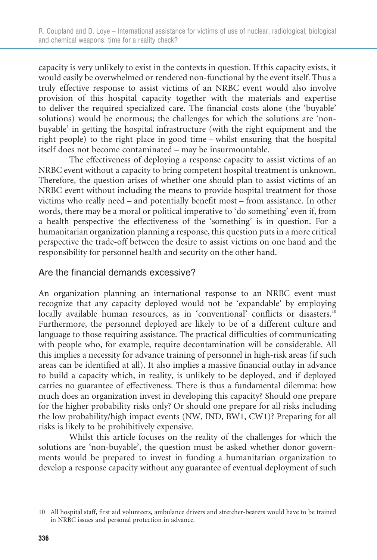capacity is very unlikely to exist in the contexts in question. If this capacity exists, it would easily be overwhelmed or rendered non-functional by the event itself. Thus a truly effective response to assist victims of an NRBC event would also involve provision of this hospital capacity together with the materials and expertise to deliver the required specialized care. The financial costs alone (the 'buyable' solutions) would be enormous; the challenges for which the solutions are 'nonbuyable' in getting the hospital infrastructure (with the right equipment and the right people) to the right place in good time – whilst ensuring that the hospital itself does not become contaminated – may be insurmountable.

The effectiveness of deploying a response capacity to assist victims of an NRBC event without a capacity to bring competent hospital treatment is unknown. Therefore, the question arises of whether one should plan to assist victims of an NRBC event without including the means to provide hospital treatment for those victims who really need – and potentially benefit most – from assistance. In other words, there may be a moral or political imperative to 'do something' even if, from a health perspective the effectiveness of the 'something' is in question. For a humanitarian organization planning a response, this question puts in a more critical perspective the trade-off between the desire to assist victims on one hand and the responsibility for personnel health and security on the other hand.

#### Are the financial demands excessive?

An organization planning an international response to an NRBC event must recognize that any capacity deployed would not be 'expandable' by employing locally available human resources, as in 'conventional' conflicts or disasters.<sup>10</sup> Furthermore, the personnel deployed are likely to be of a different culture and language to those requiring assistance. The practical difficulties of communicating with people who, for example, require decontamination will be considerable. All this implies a necessity for advance training of personnel in high-risk areas (if such areas can be identified at all). It also implies a massive financial outlay in advance to build a capacity which, in reality, is unlikely to be deployed, and if deployed carries no guarantee of effectiveness. There is thus a fundamental dilemma: how much does an organization invest in developing this capacity? Should one prepare for the higher probability risks only? Or should one prepare for all risks including the low probability/high impact events (NW, IND, BW1, CW1)? Preparing for all risks is likely to be prohibitively expensive.

Whilst this article focuses on the reality of the challenges for which the solutions are 'non-buyable', the question must be asked whether donor governments would be prepared to invest in funding a humanitarian organization to develop a response capacity without any guarantee of eventual deployment of such

<sup>10</sup> All hospital staff, first aid volunteers, ambulance drivers and stretcher-bearers would have to be trained in NRBC issues and personal protection in advance.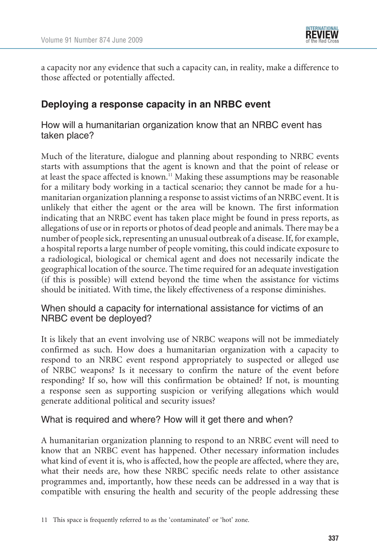

a capacity nor any evidence that such a capacity can, in reality, make a difference to those affected or potentially affected.

# Deploying a response capacity in an NRBC event

How will a humanitarian organization know that an NRBC event has taken place?

Much of the literature, dialogue and planning about responding to NRBC events starts with assumptions that the agent is known and that the point of release or at least the space affected is known.<sup>11</sup> Making these assumptions may be reasonable for a military body working in a tactical scenario; they cannot be made for a humanitarian organization planning a response to assist victims of an NRBC event. It is unlikely that either the agent or the area will be known. The first information indicating that an NRBC event has taken place might be found in press reports, as allegations of use or in reports or photos of dead people and animals. There may be a number of people sick, representing an unusual outbreak of a disease. If, for example, a hospital reports a large number of people vomiting, this could indicate exposure to a radiological, biological or chemical agent and does not necessarily indicate the geographical location of the source. The time required for an adequate investigation (if this is possible) will extend beyond the time when the assistance for victims should be initiated. With time, the likely effectiveness of a response diminishes.

## When should a capacity for international assistance for victims of an NRBC event be deployed?

It is likely that an event involving use of NRBC weapons will not be immediately confirmed as such. How does a humanitarian organization with a capacity to respond to an NRBC event respond appropriately to suspected or alleged use of NRBC weapons? Is it necessary to confirm the nature of the event before responding? If so, how will this confirmation be obtained? If not, is mounting a response seen as supporting suspicion or verifying allegations which would generate additional political and security issues?

## What is required and where? How will it get there and when?

A humanitarian organization planning to respond to an NRBC event will need to know that an NRBC event has happened. Other necessary information includes what kind of event it is, who is affected, how the people are affected, where they are, what their needs are, how these NRBC specific needs relate to other assistance programmes and, importantly, how these needs can be addressed in a way that is compatible with ensuring the health and security of the people addressing these

11 This space is frequently referred to as the 'contaminated' or 'hot' zone.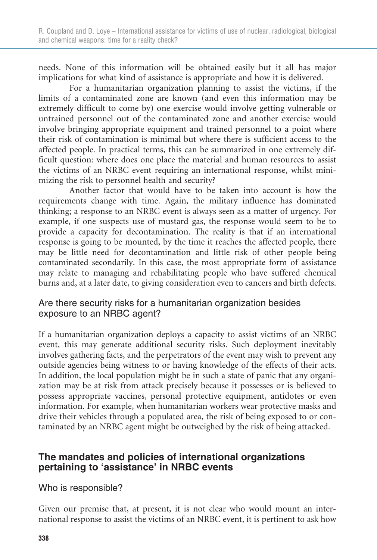needs. None of this information will be obtained easily but it all has major implications for what kind of assistance is appropriate and how it is delivered.

For a humanitarian organization planning to assist the victims, if the limits of a contaminated zone are known (and even this information may be extremely difficult to come by) one exercise would involve getting vulnerable or untrained personnel out of the contaminated zone and another exercise would involve bringing appropriate equipment and trained personnel to a point where their risk of contamination is minimal but where there is sufficient access to the affected people. In practical terms, this can be summarized in one extremely difficult question: where does one place the material and human resources to assist the victims of an NRBC event requiring an international response, whilst minimizing the risk to personnel health and security?

Another factor that would have to be taken into account is how the requirements change with time. Again, the military influence has dominated thinking; a response to an NRBC event is always seen as a matter of urgency. For example, if one suspects use of mustard gas, the response would seem to be to provide a capacity for decontamination. The reality is that if an international response is going to be mounted, by the time it reaches the affected people, there may be little need for decontamination and little risk of other people being contaminated secondarily. In this case, the most appropriate form of assistance may relate to managing and rehabilitating people who have suffered chemical burns and, at a later date, to giving consideration even to cancers and birth defects.

## Are there security risks for a humanitarian organization besides exposure to an NRBC agent?

If a humanitarian organization deploys a capacity to assist victims of an NRBC event, this may generate additional security risks. Such deployment inevitably involves gathering facts, and the perpetrators of the event may wish to prevent any outside agencies being witness to or having knowledge of the effects of their acts. In addition, the local population might be in such a state of panic that any organization may be at risk from attack precisely because it possesses or is believed to possess appropriate vaccines, personal protective equipment, antidotes or even information. For example, when humanitarian workers wear protective masks and drive their vehicles through a populated area, the risk of being exposed to or contaminated by an NRBC agent might be outweighed by the risk of being attacked.

## The mandates and policies of international organizations pertaining to 'assistance' in NRBC events

Who is responsible?

Given our premise that, at present, it is not clear who would mount an international response to assist the victims of an NRBC event, it is pertinent to ask how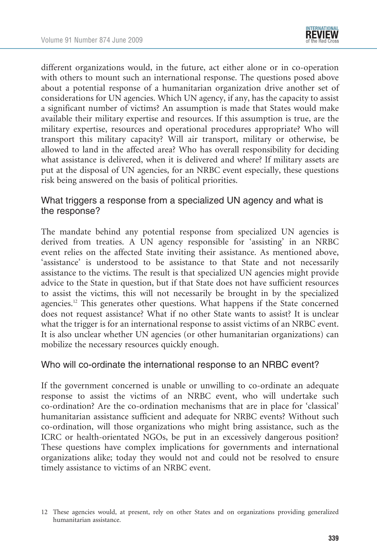

different organizations would, in the future, act either alone or in co-operation with others to mount such an international response. The questions posed above about a potential response of a humanitarian organization drive another set of considerations for UN agencies. Which UN agency, if any, has the capacity to assist a significant number of victims? An assumption is made that States would make available their military expertise and resources. If this assumption is true, are the military expertise, resources and operational procedures appropriate? Who will transport this military capacity? Will air transport, military or otherwise, be allowed to land in the affected area? Who has overall responsibility for deciding what assistance is delivered, when it is delivered and where? If military assets are put at the disposal of UN agencies, for an NRBC event especially, these questions risk being answered on the basis of political priorities.

### What triggers a response from a specialized UN agency and what is the response?

The mandate behind any potential response from specialized UN agencies is derived from treaties. A UN agency responsible for 'assisting' in an NRBC event relies on the affected State inviting their assistance. As mentioned above, 'assistance' is understood to be assistance to that State and not necessarily assistance to the victims. The result is that specialized UN agencies might provide advice to the State in question, but if that State does not have sufficient resources to assist the victims, this will not necessarily be brought in by the specialized agencies.12 This generates other questions. What happens if the State concerned does not request assistance? What if no other State wants to assist? It is unclear what the trigger is for an international response to assist victims of an NRBC event. It is also unclear whether UN agencies (or other humanitarian organizations) can mobilize the necessary resources quickly enough.

#### Who will co-ordinate the international response to an NRBC event?

If the government concerned is unable or unwilling to co-ordinate an adequate response to assist the victims of an NRBC event, who will undertake such co-ordination? Are the co-ordination mechanisms that are in place for 'classical' humanitarian assistance sufficient and adequate for NRBC events? Without such co-ordination, will those organizations who might bring assistance, such as the ICRC or health-orientated NGOs, be put in an excessively dangerous position? These questions have complex implications for governments and international organizations alike; today they would not and could not be resolved to ensure timely assistance to victims of an NRBC event.

<sup>12</sup> These agencies would, at present, rely on other States and on organizations providing generalized humanitarian assistance.